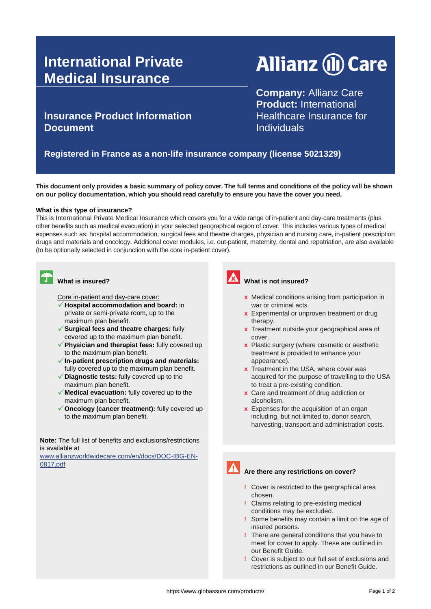# **International Private Medical Insurance**

# **Allianz (II) Care**

**Insurance Product Information Document**

**Company:** Allianz Care **Product:** International Healthcare Insurance for **Individuals** 

### **Registered in France as a non-life insurance company (license 5021329)**

**This document only provides a basic summary of policy cover. The full terms and conditions of the policy will be shown on our policy documentation, which you should read carefully to ensure you have the cover you need.**

### **What is this type of insurance?**

This is International Private Medical Insurance which covers you for a wide range of in-patient and day-care treatments (plus other benefits such as medical evacuation) in your selected geographical region of cover. This includes various types of medical expenses such as: hospital accommodation, surgical fees and theatre charges, physician and nursing care, in-patient prescription drugs and materials and oncology. Additional cover modules, i.e. out-patient, maternity, dental and repatriation, are also available (to be optionally selected in conjunction with the core in-patient cover).



## **CONTROVIDED** What is insured?

Core in-patient and day-care cover:

- **Hospital accommodation and board:** in private or semi-private room, up to the maximum plan benefit.
- **Surgical fees and theatre charges:** fully covered up to the maximum plan benefit.
- **Physician and therapist fees:** fully covered up to the maximum plan benefit.
- **In-patient prescription drugs and materials:**  fully covered up to the maximum plan benefit.
- **Diagnostic tests:** fully covered up to the maximum plan benefit.
- **Medical evacuation:** fully covered up to the maximum plan benefit.
- ◆ Oncology (cancer treatment): fully covered up to the maximum plan benefit.

**Note:** The full list of benefits and exclusions/restrictions is available at

[www.allianzworldwidecare.com/en/docs/DOC-IBG-EN-](http://www.allianzworldwidecare.com/en/docs/DOC-IBG-EN-0817.pdf)[0817.pdf](http://www.allianzworldwidecare.com/en/docs/DOC-IBG-EN-0817.pdf)



### **What is not insured?**

- **x** Medical conditions arising from participation in war or criminal acts.
- **x** Experimental or unproven treatment or drug therapy.
- **x** Treatment outside your geographical area of cover.
- **x** Plastic surgery (where cosmetic or aesthetic treatment is provided to enhance your appearance).
- **x** Treatment in the USA, where cover was acquired for the purpose of travelling to the USA to treat a pre-existing condition.
- **x** Care and treatment of drug addiction or alcoholism.
- **x** Expenses for the acquisition of an organ including, but not limited to, donor search, harvesting, transport and administration costs.

### **Are there any restrictions on cover?**

- **!** Cover is restricted to the geographical area chosen.
- **!** Claims relating to pre-existing medical conditions may be excluded.
- **!** Some benefits may contain a limit on the age of insured persons.
- **!** There are general conditions that you have to meet for cover to apply. These are outlined in our Benefit Guide.
- **!** Cover is subject to our full set of exclusions and restrictions as outlined in our Benefit Guide.